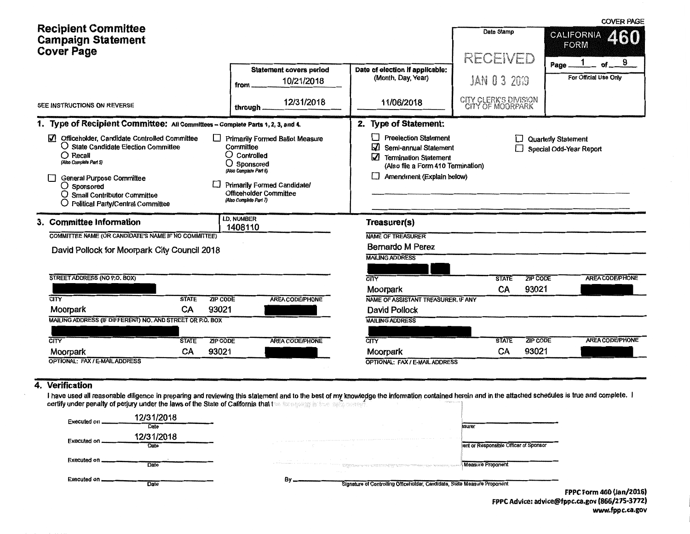| <b>Recipient Committee</b><br><b>Campaign Statement</b><br><b>Cover Page</b>                                                                                                                                                                                                      |                                                                                                                                                                                                               |                                                                                                                                                                              | Date Stamp<br>RECEIVED                    | <b>UUVER PAGE</b><br><b>CALIFORNIA</b><br><b>FORM</b><br>9 |
|-----------------------------------------------------------------------------------------------------------------------------------------------------------------------------------------------------------------------------------------------------------------------------------|---------------------------------------------------------------------------------------------------------------------------------------------------------------------------------------------------------------|------------------------------------------------------------------------------------------------------------------------------------------------------------------------------|-------------------------------------------|------------------------------------------------------------|
|                                                                                                                                                                                                                                                                                   | <b>Statement covers period</b><br>10/21/2018<br>from                                                                                                                                                          | Date of election if applicable:<br>(Month, Day, Year)                                                                                                                        | JAN 0 3 2019                              | of<br>Page<br>For Official Use Only                        |
| SEE INSTRUCTIONS ON REVERSE                                                                                                                                                                                                                                                       | 12/31/2018<br>through.                                                                                                                                                                                        | 11/06/2018                                                                                                                                                                   | CITY CLERK'S DIVISION<br>CITY OF MOORPARK |                                                            |
| 1. Type of Recipient Committee: All Committees - Complete Parts 1, 2, 3, and 4.                                                                                                                                                                                                   | 2. Type of Statement:                                                                                                                                                                                         |                                                                                                                                                                              |                                           |                                                            |
| M<br>Officeholder, Candidate Controlled Committee<br>O State Candidate Election Committee<br>$\bigcirc$ Recall<br>(Also Complete Part 5)<br><b>General Purpose Committee</b><br>$\bigcirc$ Sponsored<br>O Small Contributor Committee<br><b>Political Party/Central Committee</b> | <b>Primarily Formed Ballot Measure</b><br>Committee<br>$\bigcirc$ Controlled<br>Sponsored<br>(Also Complete Part 6)<br><b>Primarily Formed Candidate/</b><br>Officeholder Committee<br>(Also Complete Part 7) | $\sim$<br><b>Preelection Statement</b><br>☑<br>Semi-annual Statement<br>V<br><b>Termination Statement</b><br>(Also file a Form 410 Termination)<br>Amendment (Explain below) |                                           | Quarterly Statement<br>Special Odd-Year Report             |
| 3. Committee Information                                                                                                                                                                                                                                                          | <b>I.D. NUMBER</b><br>1408110                                                                                                                                                                                 | Treasurer(s)                                                                                                                                                                 |                                           |                                                            |
| COMMITTEE NAME (OR CANDIDATE'S NAME IF NO COMMITTEE)                                                                                                                                                                                                                              |                                                                                                                                                                                                               | <b>NAME OF TREASURER</b>                                                                                                                                                     |                                           |                                                            |
| David Pollock for Moorpark City Council 2018                                                                                                                                                                                                                                      |                                                                                                                                                                                                               | <b>Bernardo M Perez</b>                                                                                                                                                      |                                           |                                                            |
|                                                                                                                                                                                                                                                                                   |                                                                                                                                                                                                               | <b>MAILING ADDRESS</b>                                                                                                                                                       |                                           |                                                            |
| STREET ADDRESS (NO P.O. BOX)                                                                                                                                                                                                                                                      |                                                                                                                                                                                                               | $\overline{\text{CITY}}$                                                                                                                                                     | <b>STATE</b>                              | <b>ZIP CODE</b><br><b>AREA CODE/PHONE</b>                  |
|                                                                                                                                                                                                                                                                                   |                                                                                                                                                                                                               | Moorpark                                                                                                                                                                     | 93021<br><b>CA</b>                        |                                                            |
| CITY<br><b>STATE</b><br><b>ZIP CODE</b>                                                                                                                                                                                                                                           | <b>AREA CODE/PHONE</b>                                                                                                                                                                                        | NAME OF ASSISTANT TREASURER, IF ANY                                                                                                                                          |                                           |                                                            |
| CA<br>93021<br>Moorpark                                                                                                                                                                                                                                                           |                                                                                                                                                                                                               | David Pollock                                                                                                                                                                |                                           |                                                            |
| MAILING ADDRESS (IF DIFFERENT) NO. AND STREET OR P.O. BOX                                                                                                                                                                                                                         |                                                                                                                                                                                                               | <b>MAILING ADDRESS</b>                                                                                                                                                       |                                           |                                                            |
| CITY<br><b>ZIP CODE</b>                                                                                                                                                                                                                                                           |                                                                                                                                                                                                               | CITY                                                                                                                                                                         | <b>STATE</b>                              | <b>AREA CODE/PHONE</b><br><b>ZIP CODE</b>                  |
| <b>STATE</b><br>CA<br>93021<br>Moorpark                                                                                                                                                                                                                                           | <b>AREA CODE/PHONE</b>                                                                                                                                                                                        | Moorpark                                                                                                                                                                     | CA<br>93021                               |                                                            |
| <b>OPTIONAL: FAX / E-MAIL ADDRESS</b>                                                                                                                                                                                                                                             |                                                                                                                                                                                                               | OPTIONAL: FAX / E-MAIL ADDRESS                                                                                                                                               |                                           |                                                            |
|                                                                                                                                                                                                                                                                                   |                                                                                                                                                                                                               |                                                                                                                                                                              |                                           |                                                            |

#### 4. Verification

I have used all reasonable diligence in preparing and reviewing this statement and to the best of my knowledge the information contained herein and in the attached schedules is true and complete. I certify under penalty of perjury under the laws of the State of California that I and second prime and conservation of  $\sim$  100  $\sim$  100  $\sim$  100  $\sim$  100  $\sim$  100  $\sim$  100  $\sim$  100  $\sim$  100  $\sim$  100  $\sim$  100  $\sim$  100  $\sim$ 

| Executed on.  | 12/31/2018<br>Date | <b>Contract Contract</b><br>asurer                                                                                                                                                                                                                                                                                                                                                                                                                                                             |                |
|---------------|--------------------|------------------------------------------------------------------------------------------------------------------------------------------------------------------------------------------------------------------------------------------------------------------------------------------------------------------------------------------------------------------------------------------------------------------------------------------------------------------------------------------------|----------------|
| Executed on   | 12/31/2018<br>Date | <b>Contract Contract</b><br>. С. С. А. АНТЕРАТИОН АНГЛЕОДАН ДАН ДАН ДАН ТИЛИН ИСТОРИАЛЬНЫ КАЛАНТАН КАЛАНТАН КАЛАНТАН КАЛАНТАН КАЛАНТАН АНГ<br>ent or Responsible Officer of Sponsor<br>and the control<br><b>Contract Contract Contract</b>                                                                                                                                                                                                                                                    |                |
| Executed on   | Date               | <b>Contract Contract</b><br><b>State Street</b><br>the contract of the contract of the contract of<br>the state of the control of the<br>Measure Proponent<br>an photometry required to a party a contract of the case of the contract and the contract of<br>יימים במונים במונים במוניים במוניים מספרים מונים בין המוניים במוניים למונים במוניים במוניים במוניים במוניים במ<br>המוניים במוניים במוניים במוניים במוניים במוניים במוניים במוניים במוניים למוניים במוניים במוניים במוניים במוניי |                |
| Executed on _ | Date               | THE R. P. LEWIS<br>B٧<br>Signature of Controlling Officeholder, Candidate, State Measure Proponent                                                                                                                                                                                                                                                                                                                                                                                             | <b>FRRAF A</b> |

FPPC Form 460 (Jan/2016) FPPC Advice: advice@fppc.ca.gov (866/275-3772) www.fppc.ca.gov

DE DA OF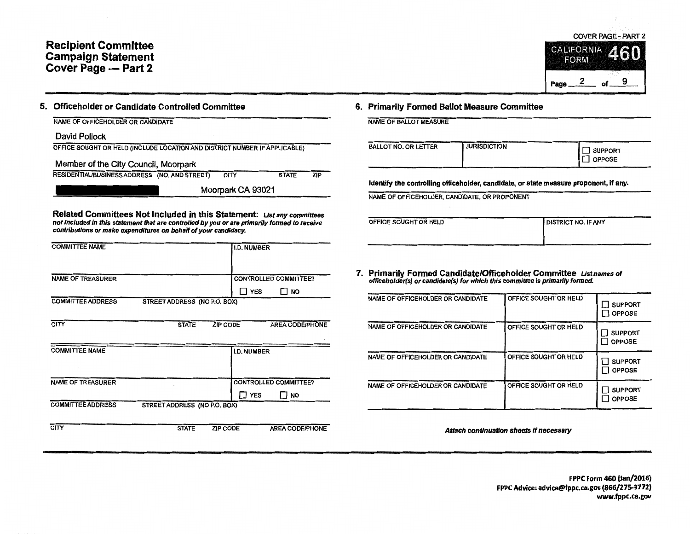## Recipient Committee Campaign Statement Cover Page - Part 2



| NAME OF OFFICEHOLDER OR CANDIDATE                                                                                                                                                                                                                |                                           |
|--------------------------------------------------------------------------------------------------------------------------------------------------------------------------------------------------------------------------------------------------|-------------------------------------------|
| David Pollock                                                                                                                                                                                                                                    |                                           |
| OFFICE SOUGHT OR HELD (INCLUDE LOCATION AND DISTRICT NUMBER IF APPLICABLE)                                                                                                                                                                       |                                           |
|                                                                                                                                                                                                                                                  |                                           |
| Member of the City Council, Moorpark<br>RESIDENTIAL/BUSINESS ADDRESS (NO, AND STREET)                                                                                                                                                            | <b>CITY</b><br><b>STATE</b><br><b>ZIP</b> |
|                                                                                                                                                                                                                                                  |                                           |
|                                                                                                                                                                                                                                                  | Moorpark CA 93021                         |
| <b>Related Committees Not Included in this Statement:</b> List any committees<br>not included in this statement that are controlled by you or are primarily formed to receive<br>contributions or make expenditures on behalf of your candidacy. |                                           |
| <b>COMMITTEE NAME</b>                                                                                                                                                                                                                            | <b>I.D. NUMBER</b>                        |
|                                                                                                                                                                                                                                                  |                                           |
| <b>NAME OF TREASURER</b>                                                                                                                                                                                                                         | <b>CONTROLLED COMMITTEE?</b>              |
|                                                                                                                                                                                                                                                  | ן YES<br><b>NO</b>                        |
| <b>COMMITTEE ADDRESS</b><br>STREET ADDRESS (NO P.O. BOX)                                                                                                                                                                                         |                                           |
| <b>CITY</b><br><b>ZIP CODE</b><br><b>STATE</b>                                                                                                                                                                                                   | <b>AREA CODE/PHONE</b>                    |
| <b>COMMITTEE NAME</b>                                                                                                                                                                                                                            | <b>I.D. NUMBER</b>                        |
|                                                                                                                                                                                                                                                  |                                           |
| <b>NAME OF TREASURER</b>                                                                                                                                                                                                                         | <b>CONTROLLED COMMITTEE?</b>              |
|                                                                                                                                                                                                                                                  | ר YES<br>I NO                             |
| <b>COMMITTEE ADDRESS</b><br>STREET ADDRESS (NO P.O. BOX)                                                                                                                                                                                         |                                           |
| <b>CITY</b><br><b>STATE</b>                                                                                                                                                                                                                      | <b>ZIP CODE</b><br><b>AREA CODE/PHONE</b> |

## 6. Primarily Formed Ballot Measure Committee

NAME OF BALLOT MEASURE

| <b>BALLOT NO. OR LETTER</b> | <b>JURISDICTION</b> | SUPPORT<br>OPPOSE |
|-----------------------------|---------------------|-------------------|
|-----------------------------|---------------------|-------------------|

Identify the controlling officeholder, candidate, or state measure proponent, if any.

NAME OF OFFICEHOLDER, CANDIDATE, OR PROPONENT

| OFFICE SOUGHT OR HELD | <b>DISTRICT NO. IF ANY</b> |
|-----------------------|----------------------------|
|                       |                            |
|                       |                            |

7. Primarily Formed Candidate/Officeholder Committee Listnames of officeholder(s) or candidate(s) for which this committee is primarily formed.

| NAME OF OFFICEHOLDER OR CANDIDATE | OFFICE SOUGHT OR HELD | <b>SUPPORT</b><br><b>OPPOSE</b> |
|-----------------------------------|-----------------------|---------------------------------|
| NAME OF OFFICEHOLDER OR CANDIDATE | OFFICE SOUGHT OR HELD | <b>SUPPORT</b><br><b>OPPOSE</b> |
| NAME OF OFFICEHOLDER OR CANDIDATE | OFFICE SOUGHT OR HELD | <b>SUPPORT</b><br><b>OPPOSE</b> |
| NAME OF OFFICEHOLDER OR CANDIDATE | OFFICE SOUGHT OR HELD | <b>SUPPORT</b><br><b>OPPOSE</b> |

Attach continuation sheets if necessary

Page  $2$  of  $-$ 

9

FPPC Form 460 (Jan/2016) FPPC Advice: advice@fppc.ca.gov (866/275-3772) www.fppc.ca.gov

COVER PAGE - PART 2  $i$ **CALIFORNIA** 

**FORM**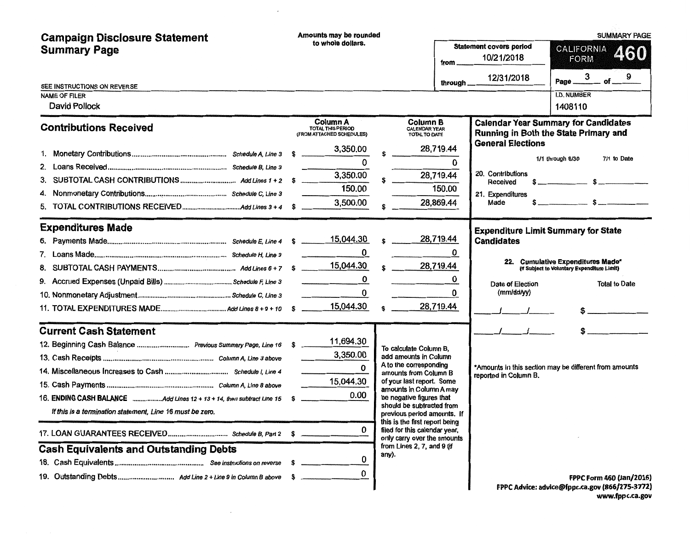| <b>Campaign Disclosure Statement</b>                                  | Amounts may be rounded                                            |                                                                                                |           |                                              | <b>SUMMARY PAGE</b>                                                                  |  |
|-----------------------------------------------------------------------|-------------------------------------------------------------------|------------------------------------------------------------------------------------------------|-----------|----------------------------------------------|--------------------------------------------------------------------------------------|--|
| <b>Summary Page</b>                                                   | to whole dollars.                                                 |                                                                                                | from      | <b>Statement covers period</b><br>10/21/2018 | CALIFORNIA<br><b>460</b><br><b>FORM</b>                                              |  |
| SEE INSTRUCTIONS ON REVERSE                                           |                                                                   |                                                                                                | through   | 12/31/2018                                   | of $9$<br>3<br>Page _                                                                |  |
| <b>NAME OF FILER</b>                                                  |                                                                   |                                                                                                |           |                                              | <b>I.D. NUMBER</b>                                                                   |  |
| David Pollock                                                         |                                                                   |                                                                                                |           |                                              | 1408110                                                                              |  |
| <b>Contributions Received</b>                                         | Column A<br><b>TOTAL THIS PERIOD</b><br>(FROM ATTACHED SCHEDULES) | <b>Column B</b><br><b>CALENDAR YEAR</b><br>TOTAL TO DATE                                       |           |                                              | <b>Calendar Year Summary for Candidates</b><br>Running in Both the State Primary and |  |
|                                                                       | 3,350.00                                                          |                                                                                                | 28,719.44 | <b>General Elections</b>                     |                                                                                      |  |
|                                                                       | 0                                                                 |                                                                                                | 0         |                                              | 1/1 through 6/30<br>7/1 to Date                                                      |  |
| 3.                                                                    | 3,350.00                                                          |                                                                                                | 28,719.44 | 20. Contributions<br>Received                |                                                                                      |  |
|                                                                       | 150.00                                                            |                                                                                                | 150.00    | 21. Expenditures                             |                                                                                      |  |
| 5.                                                                    | 3,500.00                                                          |                                                                                                | 28,869.44 | Made                                         | $s$ $s$                                                                              |  |
|                                                                       |                                                                   |                                                                                                |           |                                              |                                                                                      |  |
| <b>Expenditures Made</b>                                              |                                                                   |                                                                                                |           | <b>Expenditure Limit Summary for State</b>   |                                                                                      |  |
|                                                                       | 15,044.30                                                         |                                                                                                | 28,719.44 | <b>Candidates</b>                            |                                                                                      |  |
|                                                                       | 0                                                                 |                                                                                                | 0         |                                              | 22. Cumulative Expenditures Made*                                                    |  |
|                                                                       |                                                                   |                                                                                                | 28,719.44 |                                              | (If Subject to Voluntary Expenditure Limit)                                          |  |
|                                                                       | 0<br>and the state of the state                                   |                                                                                                | 0         | Date of Election                             | <b>Total to Date</b>                                                                 |  |
|                                                                       | 0                                                                 |                                                                                                | 0         | (mm/dd/yy)                                   |                                                                                      |  |
|                                                                       | 15,044.30                                                         |                                                                                                | 28,719.44 |                                              |                                                                                      |  |
| <b>Current Cash Statement</b>                                         |                                                                   |                                                                                                |           |                                              |                                                                                      |  |
| 12. Beginning Cash Balance  Previous Summary Page, Line 16            | 11,694.30                                                         | To calculate Column B.                                                                         |           |                                              |                                                                                      |  |
|                                                                       | 3,350.00                                                          | add amounts in Column                                                                          |           |                                              |                                                                                      |  |
|                                                                       | 0                                                                 | A to the corresponding<br>amounts from Column B                                                |           | reported in Column B.                        | *Amounts in this section may be different from amounts                               |  |
|                                                                       | 15,044.30                                                         | of your last report. Some<br>amounts in Column A may                                           |           |                                              |                                                                                      |  |
| 16. ENDING CASH BALANCE Add Lines 12 + 13 + 14, then subtract Line 15 | 0.00<br>-S                                                        | be negative figures that                                                                       |           |                                              |                                                                                      |  |
| If this is a termination statement. Line 16 must be zero.             |                                                                   | should be subtracted from<br>previous period amounts. If                                       |           |                                              |                                                                                      |  |
|                                                                       | 0                                                                 | this is the first report being<br>filed for this calendar year,<br>only carry over the amounts |           |                                              |                                                                                      |  |
| <b>Cash Equivalents and Outstanding Debts</b>                         |                                                                   | from Lines 2, 7, and 9 (if<br>any).                                                            |           |                                              |                                                                                      |  |
|                                                                       | 0                                                                 |                                                                                                |           |                                              |                                                                                      |  |
|                                                                       | 0                                                                 |                                                                                                |           |                                              | FPPC Form 460 (Jan/2016)                                                             |  |
|                                                                       |                                                                   |                                                                                                |           |                                              | FPPC Advice: advice@fppc.ca.gov (866/275-3772)                                       |  |

 $\sim$   $\sim$ 

 $\sim 100$ 

FPPC Advice: advice@fppc.ca.gov (866/275-3772) www.fppc.ca.gov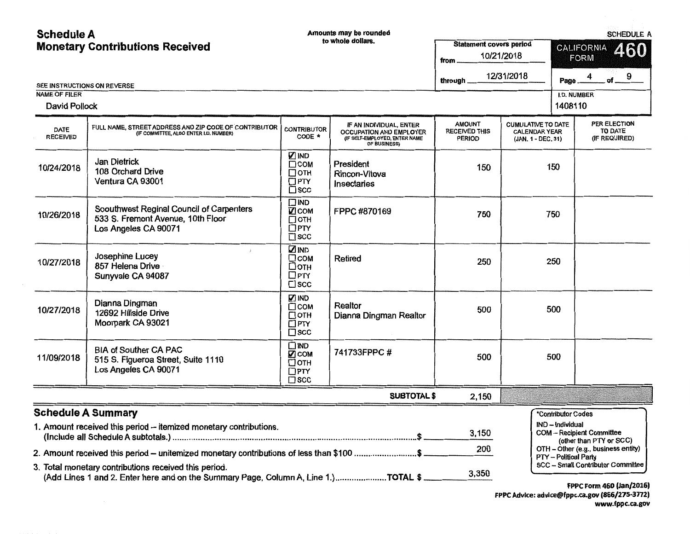Schedule A **Amounts may be rounded** 

SCHEDULE A

| SEE INSTRUCTIONS ON REVERSE                  | <b>Monetary Contributions Received</b>                                                                                                                                                                                                  |                                                                     | to whole dollars.                                                                                          | <b>Statement covers period</b><br>from<br>through      | 10/21/2018<br>12/31/2018                                                | <b>CALIFORNIA</b><br>460<br><b>FORM</b><br>of $9$<br>4<br>Page_                                    |                                                 |
|----------------------------------------------|-----------------------------------------------------------------------------------------------------------------------------------------------------------------------------------------------------------------------------------------|---------------------------------------------------------------------|------------------------------------------------------------------------------------------------------------|--------------------------------------------------------|-------------------------------------------------------------------------|----------------------------------------------------------------------------------------------------|-------------------------------------------------|
| <b>NAME OF FILER</b><br><b>David Pollock</b> |                                                                                                                                                                                                                                         |                                                                     |                                                                                                            |                                                        |                                                                         | <b>I.D. NUMBER</b><br>1408110                                                                      |                                                 |
| <b>DATE</b><br><b>RECEIVED</b>               | FULL NAME, STREET ADDRESS AND ZIP CODE OF CONTRIBUTOR<br>(IF COMMITTEE, ALSO ENTER I.D. NUMBER)                                                                                                                                         | <b>CONTRIBUTOR</b><br>CODE *                                        | IF AN INDIVIDUAL, ENTER<br><b>OCCUPATION AND EMPLOYER</b><br>(IF SELF-EMPLOYED, ENTER NAME<br>OF BUSINESS) | <b>AMOUNT</b><br><b>RECEIVED THIS</b><br><b>PERIOD</b> | <b>CUMULATIVE TO DATE</b><br><b>CALENDAR YEAR</b><br>(JAN. 1 - DEC. 31) |                                                                                                    | PER ELECTION<br><b>TO DATE</b><br>(IF REQUIRED) |
| 10/24/2018                                   | Jan Dietrick<br>108 Orchard Drive<br>Ventura CA 93001                                                                                                                                                                                   | <b>DIND</b><br>$\Box$ COM<br>Потн<br>$\Box$ PTY<br>$\square$ scc    | President<br>Rincon-Vitova<br>Insectaries                                                                  | 150                                                    | 150                                                                     |                                                                                                    |                                                 |
| 10/26/2018                                   | Soouthwest Reginal Council of Carpenters<br>533 S. Fremont Avenue, 10th Floor<br>Los Angeles CA 90071                                                                                                                                   | <b>TIND</b><br><b>17</b> сом<br>⊟отн<br>$\Box$ PTY<br>$\square$ scc | FPPC #870169                                                                                               | 750                                                    | 750                                                                     |                                                                                                    |                                                 |
| 10/27/2018                                   | $\frac{1}{2}$ .<br>Josephine Lucey<br>857 Helena Drive<br>Sunyvale CA 94087                                                                                                                                                             | <b>ZIND</b><br>$\Box$ COM<br>□отн<br>$\square$ PTY<br>$\square$ scc | Retired                                                                                                    | 250                                                    |                                                                         | 250                                                                                                |                                                 |
| 10/27/2018                                   | Dianna Dingman<br>12692 Hillside Drive<br>Moorpark CA 93021                                                                                                                                                                             | <b>ZIND</b><br>$\Box$ COM<br>□ОТН<br>$\Box$ PTY<br>$\square$ scc    | Realtor<br>Dianna Dingman Realtor                                                                          | 500                                                    |                                                                         | 500                                                                                                |                                                 |
| 11/09/2018                                   | <b>BIA of Souther CA PAC</b><br>515 S. Figueroa Street, Suite 1110<br>Los Angeles CA 90071                                                                                                                                              | $\square$ IND<br>☑сом<br>$\Box$ oth<br>$\Box$ PTY<br>$\square$ scc  | 741733FPPC #                                                                                               | 500                                                    |                                                                         | 500                                                                                                |                                                 |
|                                              |                                                                                                                                                                                                                                         |                                                                     | <b>SUBTOTAL \$</b>                                                                                         | 2,150                                                  |                                                                         |                                                                                                    |                                                 |
|                                              | <b>Schedule A Summary</b><br>1. Amount received this period - itemized monetary contributions.                                                                                                                                          |                                                                     |                                                                                                            | 3,150                                                  |                                                                         | *Contributor Codes<br>IND - Individual<br>COM -- Recipient Committee<br>(other than PTY or SCC)    |                                                 |
|                                              | 2. Amount received this period - unitemized monetary contributions of less than \$100 \$<br>3. Total monetary contributions received this period.<br>(Add Lines 1 and 2. Enter here and on the Summary Page, Column A, Line 1.)TOTAL \$ |                                                                     |                                                                                                            | 200<br>3,350                                           |                                                                         | OTH - Other (e.g., business entity)<br>PTY - Political Party<br>SCC -- Small Contributor Committee |                                                 |

FPPC Form 460 (Jan/2016) FPPC Advice: advice@fppc.ca.gov (866/275-3772) www.fppc.ca.gov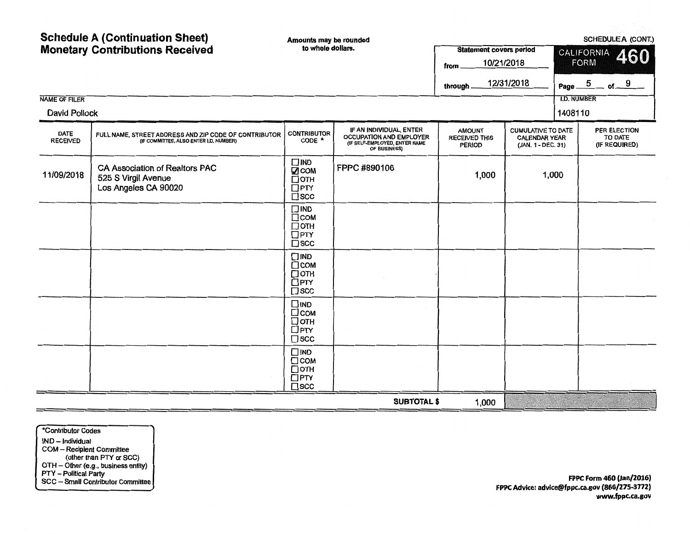| <b>Schedule A (Continuation Sheet)</b><br><b>Monetary Contributions Received</b> |                                                                                                 | Amounts may be rounded<br>to whole dollars.                                 |                                                                                                            | <b>Statement covers period</b>                         |                                                                         | SCHEDULE A (CONT.)<br><b>CALIFORNIA</b><br>460 |                                |                                                 |  |  |
|----------------------------------------------------------------------------------|-------------------------------------------------------------------------------------------------|-----------------------------------------------------------------------------|------------------------------------------------------------------------------------------------------------|--------------------------------------------------------|-------------------------------------------------------------------------|------------------------------------------------|--------------------------------|-------------------------------------------------|--|--|
|                                                                                  |                                                                                                 |                                                                             |                                                                                                            | 10/21/2018<br>from<br>through                          | 12/31/2018                                                              | <b>I.D. NUMBER</b>                             | <b>FORM</b><br>Page $5$ of $9$ |                                                 |  |  |
| <b>NAME OF FILER</b><br>David Pollock                                            |                                                                                                 |                                                                             |                                                                                                            |                                                        |                                                                         | 1408110                                        |                                |                                                 |  |  |
| <b>DATE</b><br><b>RECEIVED</b>                                                   | FULL NAME, STREET ADDRESS AND ZIP CODE OF CONTRIBUTOR<br>(IF COMMITTEE, ALSO ENTER I.D. NUMBER) | <b>CONTRIBUTOR</b><br>CODE *                                                | IF AN INDIVIDUAL, ENTER<br><b>OCCUPATION AND EMPLOYER</b><br>(IF SELF-EMPLOYED, ENTER NAME<br>OF BUSINESS) | <b>AMOUNT</b><br><b>RECEIVED THIS</b><br><b>PERIOD</b> | <b>CUMULATIVE TO DATE</b><br><b>CALENDAR YEAR</b><br>(JAN. 1 - DEC. 31) |                                                |                                | PER ELECTION<br><b>TO DATE</b><br>(IF REQUIRED) |  |  |
| 11/09/2018                                                                       | CA Association of Realtors PAC<br>525 S Virgil Avenue<br>Los Angeles CA 90020                   | $\square$ IND<br>$2$ COM<br>$\Box$ OTH<br>$\Box$ PTY<br>$\square$ scc       | FPPC #890106                                                                                               | 1,000                                                  | 1,000                                                                   |                                                |                                |                                                 |  |  |
|                                                                                  |                                                                                                 | $\square$ IND<br>$\Box$ COM<br>$\square$ OTH<br>$\Box$ PTY<br>$\square$ scc |                                                                                                            |                                                        |                                                                         |                                                |                                |                                                 |  |  |
|                                                                                  |                                                                                                 | $\square$ IND<br>$\Box$ COM<br>□отн<br>$\Box$ PTY<br>$\square$ scc          |                                                                                                            |                                                        |                                                                         |                                                |                                |                                                 |  |  |
|                                                                                  |                                                                                                 | $\Box$ IND<br>□сом<br>□отн<br>$\Box$ PTY<br>$\square$ scc                   |                                                                                                            |                                                        |                                                                         |                                                |                                |                                                 |  |  |
|                                                                                  |                                                                                                 | $\square$ IND<br>$\Box$ COM<br>□отн<br><b>OPTY</b><br>$\square$ scc         |                                                                                                            |                                                        |                                                                         |                                                |                                |                                                 |  |  |
|                                                                                  |                                                                                                 |                                                                             | <b>SUBTOTAL \$</b>                                                                                         | 1,000                                                  |                                                                         |                                                |                                |                                                 |  |  |

\*Contributor Codes IND - Individual COM - Recipient Committee (other than PTY or SCC) OTH - Other {e.g., business entity) PTY - Political Party SCC - Small Contributor Committee

FPPC Form 460 (Jan/2016) FPPC Advice: advice@fppc.ca.gov (866/275-3772) www.fppc.ca.gov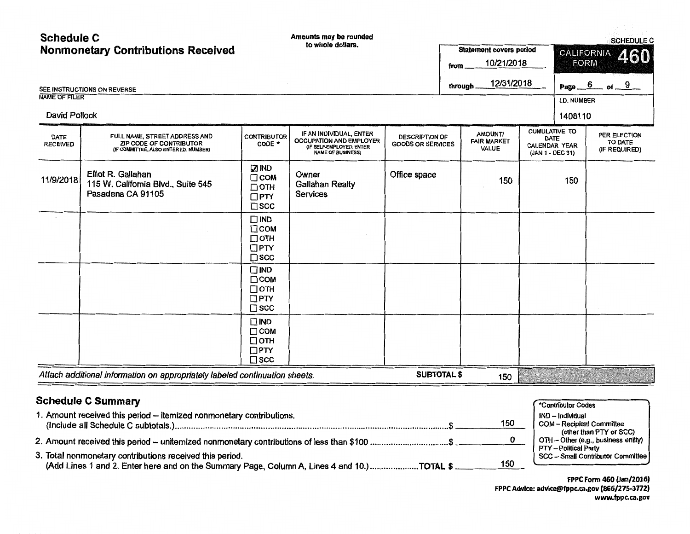| <b>Schedule C</b>              |                                                                                                                  |                                                                          | Amounts may be rounded                                                                                            |                                                   |                                        |                                              |                                                                          |                               |                                         | <b>SCHEDULE C</b>                        |
|--------------------------------|------------------------------------------------------------------------------------------------------------------|--------------------------------------------------------------------------|-------------------------------------------------------------------------------------------------------------------|---------------------------------------------------|----------------------------------------|----------------------------------------------|--------------------------------------------------------------------------|-------------------------------|-----------------------------------------|------------------------------------------|
|                                | <b>Nonmonetary Contributions Received</b>                                                                        |                                                                          | to whole dollars.<br>from                                                                                         |                                                   |                                        | <b>Statement covers period</b><br>10/21/2018 |                                                                          |                               | <b>CALIFORNIA</b><br>460<br><b>FORM</b> |                                          |
| <b>NAME OF FILER</b>           | SEE INSTRUCTIONS ON REVERSE                                                                                      |                                                                          |                                                                                                                   |                                                   | <b>through</b>                         | 12/31/2018                                   |                                                                          | Page_                         | $6\overline{6}$                         | of $-9$                                  |
| <b>David Pollock</b>           |                                                                                                                  |                                                                          |                                                                                                                   |                                                   |                                        |                                              |                                                                          | <b>I.D. NUMBER</b><br>1408110 |                                         |                                          |
| <b>DATE</b><br><b>RECEIVED</b> | FULL NAME, STREET ADDRESS AND<br><b>ZIP CODE OF CONTRIBUTOR</b><br>(IF COMMITTEE, ALSO ENTER I.D. NUMBER)        | <b>CONTRIBUTOR</b><br>CODE *                                             | IF AN INDIVIDUAL, ENTER<br><b>OCCUPATION AND EMPLOYER</b><br>(IF SELF-EMPLOYED, ENTER<br><b>NAME OF BUSINESS)</b> | <b>DESCRIPTION OF</b><br><b>GOODS OR SERVICES</b> | AMOUNT/<br><b>FAIR MARKET</b><br>VALUE |                                              | <b>CUMULATIVE TO</b><br>DATE<br><b>CALENDAR YEAR</b><br>(JAN 1 - DEC 31) |                               |                                         | PER ELECTION<br>TO DATE<br>(IF REQUIRED) |
| 11/9/2018                      | Elliot R. Gallahan<br>115 W. California Blvd., Suite 545<br>Pasadena CA 91105                                    | <b>ZIND</b><br>$\Box$ COM<br>$\Box$ OTH<br>$\Box$ PTY<br>$\square$ scc   | Owner<br><b>Gallahan Realty</b><br><b>Services</b>                                                                | Office space                                      |                                        | 150                                          |                                                                          | 150                           |                                         |                                          |
|                                |                                                                                                                  | $\square$ IND<br>$\Box$ COM<br>$\Box$ OTH<br>$\Box$ PTY<br>$\square$ scc |                                                                                                                   |                                                   |                                        |                                              |                                                                          |                               |                                         |                                          |
|                                |                                                                                                                  | $\square$ IND<br>$\Box$ COM<br>$\Box$ OTH<br>$\Box$ PTY<br>$\square$ scc |                                                                                                                   |                                                   |                                        |                                              |                                                                          |                               |                                         |                                          |
|                                |                                                                                                                  | $\square$ IND<br>$\Box$ COM<br>$\Box$ OTH<br>$\Box$ PTY<br>$\square$ scc |                                                                                                                   |                                                   |                                        |                                              |                                                                          |                               |                                         |                                          |
|                                | Attach additional information on appropriately labeled continuation sheets.                                      |                                                                          |                                                                                                                   | <b>SUBTOTAL \$</b>                                |                                        | 150                                          |                                                                          |                               |                                         |                                          |
|                                | <b>Schedule C Summary</b>                                                                                        |                                                                          |                                                                                                                   |                                                   |                                        |                                              |                                                                          |                               |                                         |                                          |
|                                | 4. A monitor the contract that considerable interesting and consideration of the contract of the constant of the |                                                                          |                                                                                                                   |                                                   |                                        |                                              |                                                                          | *Contributor Codes<br>.       |                                         |                                          |

| 1. Amount received this period - itemized nonmonetary contributions.                                                                                   | 150 | IND – Individual<br><b>COM</b> - Recipient Committee                                     |
|--------------------------------------------------------------------------------------------------------------------------------------------------------|-----|------------------------------------------------------------------------------------------|
| 2. Amount received this period -- unitemized nonmonetary contributions of less than \$100 ………………………………\$                                               |     | (other than PTY or SCC)<br>OTH - Other (e.g., business entity)<br>PTY -- Political Party |
| 3. Total nonmonetary contributions received this period.<br>(Add Lines 1 and 2. Enter here and on the Summary Page, Column A, Lines 4 and 10.)TOTAL \$ | 150 | SCC - Small Contributor Committee                                                        |

FPPC Form 460 (Jan/2016) FPPC Advice: advice@fppc.ca.gov (866/275-3772) www.fppc.ca.gov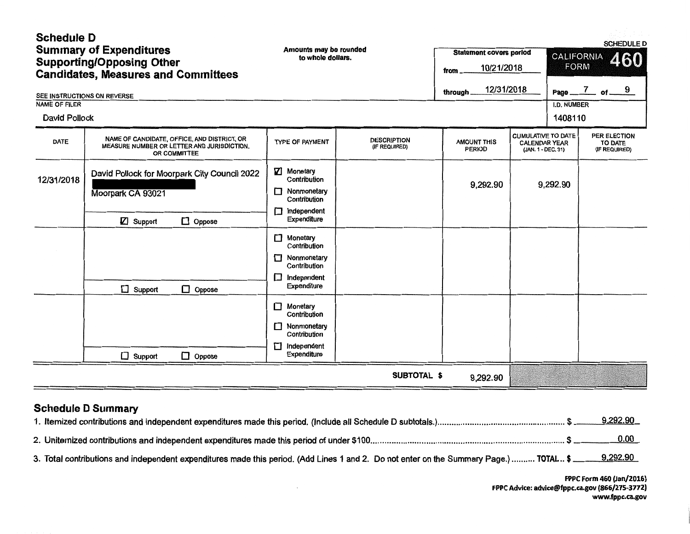| <b>Schedule D</b><br><b>Summary of Expenditures</b><br><b>Supporting/Opposing Other</b><br><b>Candidates, Measures and Committees</b> |                                                                                                           | Amounts may be rounded<br>to whole dollars.                                                      |                                     | <b>Statement covers period</b><br>10/21/2018<br>from | <b>SCHEDULE D</b><br><b>CALIFORNIA</b><br>460<br><b>FORM</b>            |                               |                                          |  |
|---------------------------------------------------------------------------------------------------------------------------------------|-----------------------------------------------------------------------------------------------------------|--------------------------------------------------------------------------------------------------|-------------------------------------|------------------------------------------------------|-------------------------------------------------------------------------|-------------------------------|------------------------------------------|--|
| SEE INSTRUCTIONS ON REVERSE                                                                                                           |                                                                                                           |                                                                                                  |                                     | 12/31/2018<br>through.                               |                                                                         | Page _                        | $\frac{7}{5}$ of $\frac{9}{5}$           |  |
| <b>NAME OF FILER</b><br><b>David Pollock</b>                                                                                          |                                                                                                           |                                                                                                  |                                     |                                                      |                                                                         | <b>I.D. NUMBER</b><br>1408110 |                                          |  |
| <b>DATE</b>                                                                                                                           | NAME OF CANDIDATE, OFFICE, AND DISTRICT, OR<br>MEASURE NUMBER OR LETTER AND JURISDICTION,<br>OR COMMITTEE | <b>TYPE OF PAYMENT</b>                                                                           | <b>DESCRIPTION</b><br>(IF REQUIRED) | <b>AMOUNT THIS</b><br><b>PERIOD</b>                  | <b>CUMULATIVE TO DATE</b><br><b>CALENDAR YEAR</b><br>(JAN. 1 - DEC. 31) |                               | PER ELECTION<br>TO DATE<br>(IF REQUIRED) |  |
| 12/31/2018                                                                                                                            | David Pollock for Moorpark City Council 2022<br>Moorpark CA 93021<br>$\mathbb{Z}$ Support                 | ☑<br>Monetary<br>Contribution<br>Nonmonetary<br>Contribution<br>Independent<br>П.<br>Expenditure |                                     | 9,292.90                                             |                                                                         | 9,292.90                      |                                          |  |
|                                                                                                                                       | $\Box$ Oppose<br>$\Box$ Support<br>Oppose                                                                 | Monetary<br>Contribution<br>Nonmonetary<br>Contribution<br>$\Box$ Independent<br>Expenditure     |                                     |                                                      |                                                                         |                               |                                          |  |
|                                                                                                                                       | $\Box$ Support<br>$\Box$ Oppose                                                                           | Monetary<br>Contribution<br>Nonmonetary<br>Contribution<br>Independent<br>П<br>Expenditure       |                                     |                                                      |                                                                         |                               |                                          |  |
|                                                                                                                                       |                                                                                                           |                                                                                                  | <b>SUBTOTAL \$</b>                  | 9,292.90                                             |                                                                         |                               |                                          |  |

# Schedule D Summary

|                                                                                                                                                     | 9,292.90 |
|-----------------------------------------------------------------------------------------------------------------------------------------------------|----------|
|                                                                                                                                                     | 0.00     |
| 3. Total contributions and independent expenditures made this period. (Add Lines 1 and 2. Do not enter on the Summary Page.)  TOTAL \$ 100 9.292.90 |          |

 $\alpha$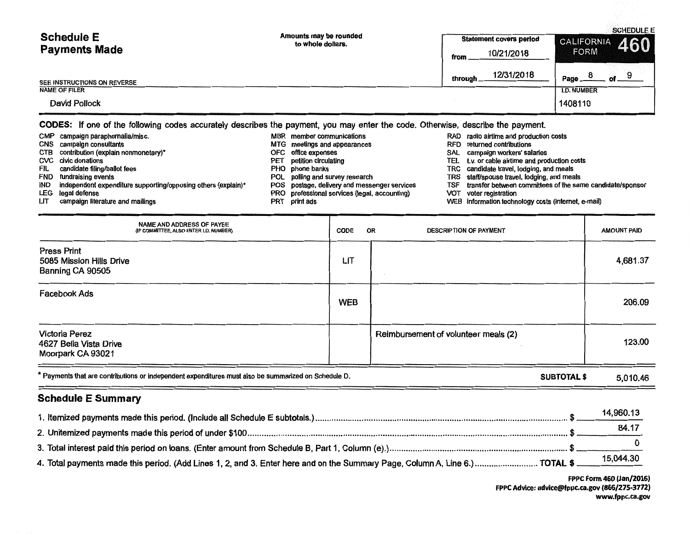| <b>Schedule E</b>           | Amounts may be rounded<br>to whole dollars. | <b>Statement covers period</b> | <b>SCHEDULE E</b><br>$\left \frac{\text{CALIFORNIA}}{\text{FORM}}\right $ 460 |
|-----------------------------|---------------------------------------------|--------------------------------|-------------------------------------------------------------------------------|
| <b>Payments Made</b>        |                                             | 10/21/2018<br>from             | <b>FORM</b>                                                                   |
| SEE INSTRUCTIONS ON REVERSE |                                             | 12/31/2018<br>through.         | Page                                                                          |
| <b>NAME OF FILER</b>        |                                             |                                | <b>I.D. NUMBER</b>                                                            |
| David Pollock               |                                             |                                | 1408110                                                                       |
|                             |                                             |                                |                                                                               |

CODES: If one of the following codes accurately describes the payment, you may enter the code. Otherwise, describe the payment.

CMP campaign paraphernalia/misc. <br>CNS campaign consultants and production costs and productions and appearances and appearances RFD returned contributions CNS campaign consultants (CNS campaign consultants and meetings and appearances and appearances of the meetings and appearances and appearances and the contributions contributions of the contributions of contributions cont CTB contribution (explain nonmonetary)\* OFC office expenses SAL campaign workers' salaries even civic donations examples the petition circulating CVC civic donations and production costs costs FIL candidate filing/ballot fees excluding the state of the PHO phone banks TRC candidate travel, lodging, and meals<br>TRS staff/spouse travel, lodging, and meals POL polling and survey research TRS staff/spouse travel, lodg FND fundraising events exercise that the POL polling and survey research TRS staff/spouse travel, lodging, and meals IND independent expenditure supporting/opposing others (explain)\* POS postage, delivery and messenger services TSF transfer between committees of the same candidate/sponsor<br>LEG legal defense of the same candidate/sponsor P LEG legal defense **PRO professional services (legal, accounting)** VOT voter registrational services (legal, accounting) LIT campaign literature and mailings PRT print ads WEB information technology costs (internet, e-mail)

| NAME AND ADDRESS OF PAYEE<br>(IF COMMITTEE, ALSO ENTER I.D. NUMBER)                                                        | CODE       | <b>DESCRIPTION OF PAYMENT</b><br>OR  | <b>AMOUNT PAID</b> |
|----------------------------------------------------------------------------------------------------------------------------|------------|--------------------------------------|--------------------|
| <b>Press Print</b><br>5085 Mission Hills Drive<br>Banning CA 90505                                                         | LIT        |                                      | 4,681.37           |
| <b>Facebook Ads</b>                                                                                                        | <b>WEB</b> |                                      | 206.09             |
| Victoria Perez<br>4627 Bella Vista Drive<br>Moorpark CA 93021                                                              |            | Reimbursement of volunteer meals (2) | 123.00             |
| * Payments that are contributions or independent expenditures must also be summarized on Schedule D.<br><b>SUBTOTAL \$</b> |            |                                      | 5,010.46           |

#### Schedule E Summary

|                                                                                                                                       | 14,960.13 |
|---------------------------------------------------------------------------------------------------------------------------------------|-----------|
|                                                                                                                                       | 84.17     |
|                                                                                                                                       |           |
| 4. Total payments made this period. (Add Lines 1, 2, and 3. Enter here and on the Summary Page, Column A, Line 6.) TOTAL \$ 15,044.30 |           |